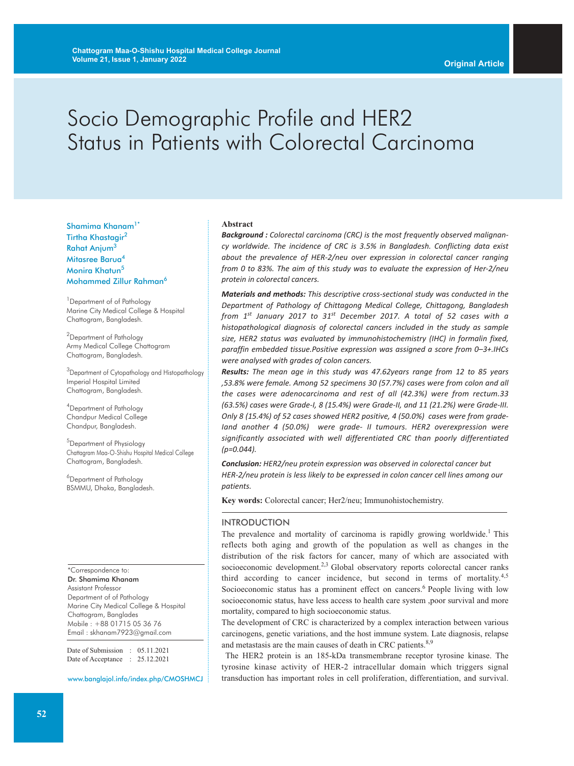# Socio Demographic Profile and HER2 Status in Patients with Colorectal Carcinoma

Shamima Khanam<sup>1\*</sup> Tirtha Khastagir 2 Rahat Anjum<sup>3</sup> Mitasree Barua<sup>4</sup> Monira Khatun<sup>5</sup> Mohammed Zillur Rahman6

<sup>1</sup> Department of of Pathology Marine City Medical College & Hospital Chattogram, Bangladesh.

<sup>2</sup>Department of Pathology Army Medical College Chattogram Chattogram, Bangladesh.

<sup>3</sup>Department of Cytopathology and Histopathology Imperial Hospital Limited Chattogram, Bangladesh.

4 Department of Pathology Chandpur Medical College Chandpur, Bangladesh.

5 Department of Physiology Chattagram Maa-O-Shishu Hospital Medical College Chattogram, Bangladesh.

6 Department of Pathology BSMMU, Dhaka, Bangladesh.

\*Correspondence to: Dr. Shamima Khanam Assistant Professor Department of of Pathology Marine City Medical College & Hospital Chattogram, Banglades Mobile : +88 01715 05 36 76 Email : skhanam7923@gmail.com

Date of Submission : 05.11.2021 Date of Acceptance : 25.12.2021

www.banglajol.info/index.php/CMOSHMCJ

#### **Abstract**

*Background : Colorectal carcinoma (CRC) is the most frequently observed malignancy worldwide. The incidence of CRC is 3.5% in Bangladesh. Conflicting data exist about the prevalence of HER-2/neu over expression in colorectal cancer ranging from 0 to 83%. The aim of this study was to evaluate the expression of Her-2/neu protein in colorectal cancers.*

*Materials and methods: This descriptive cross-sectional study was conducted in the Department of Pathology of Chittagong Medical College, Chittagong, Bangladesh from 1st January 2017 to 31st December 2017. A total of 52 cases with a histopathological diagnosis of colorectal cancers included in the study as sample size, HER2 status was evaluated by immunohistochemistry (IHC) in formalin fixed, paraffin embedded tissue.Positive expression was assigned a score from 0–3+.IHCs were analysed with grades of colon cancers.*

*Results: The mean age in this study was 47.62years range from 12 to 85 years ,53.8% were female. Among 52 specimens 30 (57.7%) cases were from colon and all the cases were adenocarcinoma and rest of all (42.3%) were from rectum.33 (63.5%) cases were Grade-I, 8 (15.4%) were Grade-II, and 11 (21.2%) were Grade-III. Only 8 (15.4%) of 52 cases showed HER2 positive, 4 (50.0%) cases were from grade-Iand another 4 (50.0%) were grade- II tumours. HER2 overexpression were significantly associated with well differentiated CRC than poorly differentiated (p=0.044).*

*Conclusion: HER2/neu protein expression was observed in colorectal cancer but HER-2/neu protein is less likely to be expressed in colon cancer cell lines among our patients.*

**Key words:** Colorectal cancer; Her2/neu; Immunohistochemistry.

# INTRODUCTION

The prevalence and mortality of carcinoma is rapidly growing worldwide.<sup>1</sup> This reflects both aging and growth of the population as well as changes in the distribution of the risk factors for cancer, many of which are associated with socioeconomic development.<sup>2,3</sup> Global observatory reports colorectal cancer ranks third according to cancer incidence, but second in terms of mortality.<sup>4,5</sup> Socioeconomic status has a prominent effect on cancers.<sup>6</sup> People living with low socioeconomic status, have less access to health care system ,poor survival and more mortality, compared to high socioeconomic status.

The development of CRC is characterized by a complex interaction between various carcinogens, genetic variations, and the host immune system. Late diagnosis, relapse and metastasis are the main causes of death in CRC patients.<sup>8,9</sup>

The HER2 protein is an 185-kDa transmembrane receptor tyrosine kinase. The tyrosine kinase activity of HER-2 intracellular domain which triggers signal transduction has important roles in cell proliferation, differentiation, and survival.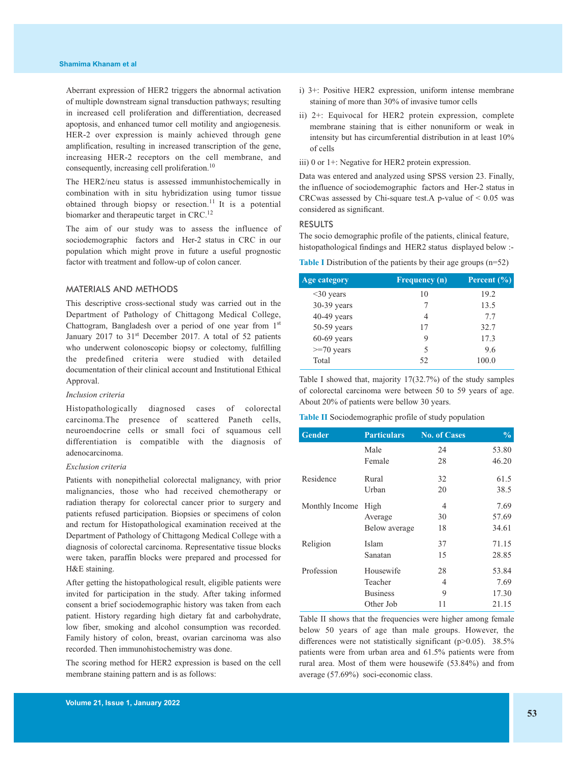Aberrant expression of HER2 triggers the abnormal activation of multiple downstream signal transduction pathways; resulting in increased cell proliferation and differentiation, decreased apoptosis, and enhanced tumor cell motility and angiogenesis. HER-2 over expression is mainly achieved through gene amplification, resulting in increased transcription of the gene, increasing HER-2 receptors on the cell membrane, and consequently, increasing cell proliferation. 10

The HER2/neu status is assessed immunhistochemically in combination with in situ hybridization using tumor tissue obtained through biopsy or resection. <sup>11</sup> It is a potential biomarker and therapeutic target in CRC.<sup>12</sup>

The aim of our study was to assess the influence of sociodemographic factors and Her-2 status in CRC in our population which might prove in future a useful prognostic factor with treatment and follow-up of colon cancer.

# MATERIALS AND METHODS

This descriptive cross-sectional study was carried out in the Department of Pathology of Chittagong Medical College, Chattogram, Bangladesh over a period of one year from 1st January 2017 to 31<sup>st</sup> December 2017. A total of 52 patients who underwent colonoscopic biopsy or colectomy, fulfilling the predefined criteria were studied with detailed documentation of their clinical account and Institutional Ethical Approval.

#### *Inclusion criteria*

Histopathologically diagnosed cases of colorectal carcinoma.The presence of scattered Paneth cells, neuroendocrine cells or small foci of squamous cell differentiation is compatible with the diagnosis of adenocarcinoma.

#### *Exclusion criteria*

Patients with nonepithelial colorectal malignancy, with prior malignancies, those who had received chemotherapy or radiation therapy for colorectal cancer prior to surgery and patients refused participation. Biopsies or specimens of colon and rectum for Histopathological examination received at the Department of Pathology of Chittagong Medical College with a diagnosis of colorectal carcinoma. Representative tissue blocks were taken, paraffin blocks were prepared and processed for H&E staining.

After getting the histopathological result, eligible patients were invited for participation in the study. After taking informed consent a brief sociodemographic history was taken from each patient. History regarding high dietary fat and carbohydrate, low fiber, smoking and alcohol consumption was recorded. Family history of colon, breast, ovarian carcinoma was also recorded. Then immunohistochemistry was done.

The scoring method for HER2 expression is based on the cell membrane staining pattern and is as follows:

- i) 3+: Positive HER2 expression, uniform intense membrane staining of more than 30% of invasive tumor cells
- ii) 2+: Equivocal for HER2 protein expression, complete membrane staining that is either nonuniform or weak in intensity but has circumferential distribution in at least 10% of cells

iii) 0 or 1+: Negative for HER2 protein expression.

Data was entered and analyzed using SPSS version 23. Finally, the influence of sociodemographic factors and Her-2 status in CRCwas assessed by Chi-square test.A p-value of < 0.05 was considered as significant.

#### RESULTS

The socio demographic profile of the patients, clinical feature, histopathological findings and HER2 status displayed below :-

**Table I** Distribution of the patients by their age groups (n=52)

| Age category    | <b>Frequency</b> (n) | <b>Percent</b> $(\%)$ |
|-----------------|----------------------|-----------------------|
| $\leq$ 30 years | 10                   | 19.2                  |
| 30-39 years     |                      | 13.5                  |
| $40-49$ years   | 4                    | 7.7                   |
| $50-59$ years   | 17                   | 32.7                  |
| $60-69$ years   | 9                    | 17.3                  |
| $>=70$ years    | 5                    | 9.6                   |
| Total           | 52                   | 100.0                 |

Table I showed that, majority 17(32.7%) of the study samples of colorectal carcinoma were between 50 to 59 years of age. About 20% of patients were bellow 30 years.

**Table II** Sociodemographic profile of study population

| <b>Gender</b>  | <b>Particulars</b> | <b>No. of Cases</b> | $\frac{0}{0}$ |
|----------------|--------------------|---------------------|---------------|
|                | Male               | 24                  | 53.80         |
|                | Female             | 28                  | 46.20         |
| Residence      | Rural              | 32                  | 61.5          |
|                | Urban              | 20                  | 38.5          |
| Monthly Income | High               | 4                   | 7.69          |
|                | Average            | 30                  | 57.69         |
|                | Below average      | 18                  | 34.61         |
| Religion       | Islam              | 37                  | 71.15         |
|                | Sanatan            | 15                  | 28.85         |
| Profession     | Housewife          | 28                  | 53.84         |
|                | Teacher            | 4                   | 7.69          |
|                | <b>Business</b>    | 9                   | 17.30         |
|                | Other Job          | 11                  | 21.15         |

Table II shows that the frequencies were higher among female below 50 years of age than male groups. However, the differences were not statistically significant (p>0.05). 38.5% patients were from urban area and 61.5% patients were from rural area. Most of them were housewife (53.84%) and from average (57.69%) soci-economic class.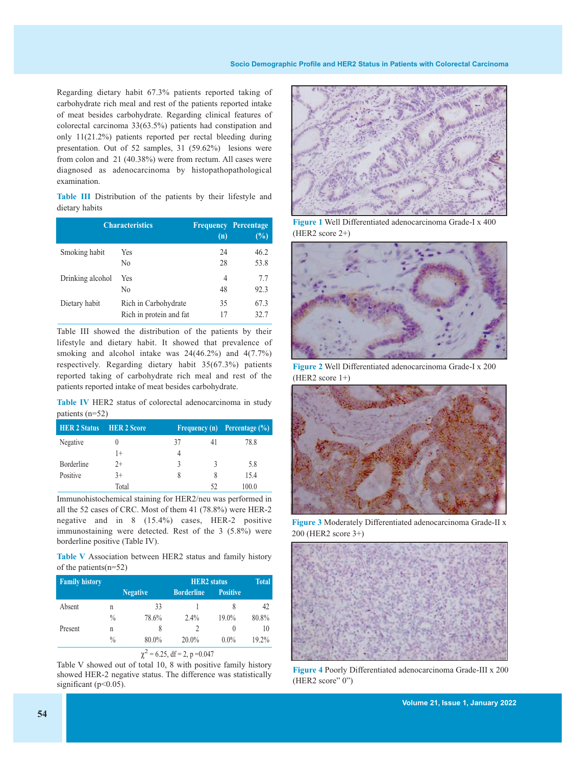Regarding dietary habit 67.3% patients reported taking of carbohydrate rich meal and rest of the patients reported intake of meat besides carbohydrate. Regarding clinical features of colorectal carcinoma 33(63.5%) patients had constipation and only 11(21.2%) patients reported per rectal bleeding during presentation. Out of 52 samples, 31 (59.62%) lesions were from colon and 21 (40.38%) were from rectum. All cases were diagnosed as adenocarcinoma by histopathopathological examination.

**Table III** Distribution of the patients by their lifestyle and dietary habits

| <b>Characteristics</b> |                         | (n) | <b>Frequency Percentage</b><br>(%) |
|------------------------|-------------------------|-----|------------------------------------|
| Smoking habit          | Yes                     | 24  | 46.2                               |
|                        | No                      | 28  | 53.8                               |
| Drinking alcohol       | Yes                     | 4   | 7.7                                |
|                        | No                      | 48  | 92.3                               |
| Dietary habit          | Rich in Carbohydrate    | 35  | 67.3                               |
|                        | Rich in protein and fat | 17  | 32.7                               |

Table III showed the distribution of the patients by their lifestyle and dietary habit. It showed that prevalence of smoking and alcohol intake was 24(46.2%) and 4(7.7%) respectively. Regarding dietary habit 35(67.3%) patients reported taking of carbohydrate rich meal and rest of the patients reported intake of meat besides carbohydrate.

**Table IV** HER2 status of colorectal adenocarcinoma in study patients (n=52)

| <b>HER 2 Status</b> | <b>HER 2 Score</b> |    |    | Frequency (n) Percentage (%) |
|---------------------|--------------------|----|----|------------------------------|
| Negative            |                    | 37 | 41 | 78.8                         |
|                     | 1+                 | 4  |    |                              |
| Borderline          | $2+$               | 3  | 3  | 5.8                          |
| Positive            | $3+$               | 8  |    | 15.4                         |
|                     | Total              |    | 52 | 100.0                        |

Immunohistochemical staining for HER2/neu was performed in all the 52 cases of CRC. Most of them 41 (78.8%) were HER-2 negative and in 8 (15.4%) cases, HER-2 positive immunostaining were detected. Rest of the 3 (5.8%) were borderline positive (Table IV).

**Table V** Association between HER2 status and family history of the patients(n=52)

| <b>Family history</b> |               |                 | <b>HER2</b> status | <b>Total</b>    |       |
|-----------------------|---------------|-----------------|--------------------|-----------------|-------|
|                       |               | <b>Negative</b> | <b>Borderline</b>  | <b>Positive</b> |       |
| Absent                | n             | 33              |                    |                 | 42    |
|                       | $\frac{0}{0}$ | 78.6%           | $2.4\%$            | $19.0\%$        | 80.8% |
| Present               | n             | 8               |                    | $\theta$        | 10    |
|                       | $\frac{0}{0}$ | 80.0%           | 20.0%              | $0.0\%$         | 19.2% |
|                       |               |                 |                    |                 |       |



Table V showed out of total 10, 8 with positive family history showed HER-2 negative status. The difference was statistically significant (p<0.05).



**Figure 1** Well Differentiated adenocarcinoma Grade-I x 400 (HER2 score 2+)



**Figure 2** Well Differentiated adenocarcinoma Grade-I x 200 (HER2 score 1+)



**Figure 3** Moderately Differentiated adenocarcinoma Grade-II x 200 (HER2 score 3+)



**Figure 4** Poorly Differentiated adenocarcinoma Grade-III x 200 (HER2 score" 0")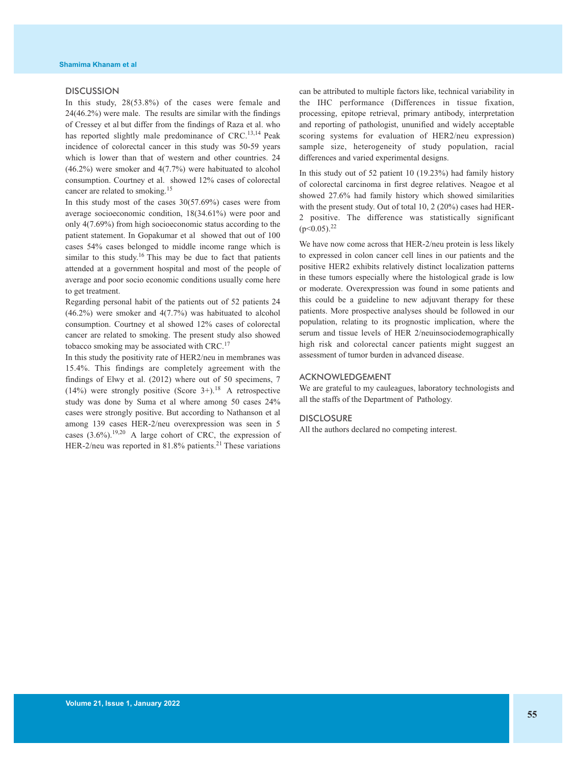#### **DISCUSSION**

In this study, 28(53.8%) of the cases were female and 24(46.2%) were male. The results are similar with the findings of Cressey et al but differ from the findings of Raza et al. who has reported slightly male predominance of CRC.<sup>13,14</sup> Peak incidence of colorectal cancer in this study was 50-59 years which is lower than that of western and other countries. 24 (46.2%) were smoker and 4(7.7%) were habituated to alcohol consumption. Courtney et al. showed 12% cases of colorectal cancer are related to smoking. 15

In this study most of the cases 30(57.69%) cases were from average socioeconomic condition, 18(34.61%) were poor and only 4(7.69%) from high socioeconomic status according to the patient statement. In Gopakumar et al showed that out of 100 cases 54% cases belonged to middle income range which is similar to this study.<sup>16</sup> This may be due to fact that patients attended at a government hospital and most of the people of average and poor socio economic conditions usually come here to get treatment.

Regarding personal habit of the patients out of 52 patients 24 (46.2%) were smoker and 4(7.7%) was habituated to alcohol consumption. Courtney et al showed 12% cases of colorectal cancer are related to smoking. The present study also showed tobacco smoking may be associated with CRC.<sup>17</sup>

In this study the positivity rate of HER2/neu in membranes was 15.4%. This findings are completely agreement with the findings of Elwy et al. (2012) where out of 50 specimens, 7  $(14%)$  were strongly positive (Score 3+).<sup>18</sup> A retrospective study was done by Suma et al where among 50 cases 24% cases were strongly positive. But according to Nathanson et al among 139 cases HER-2/neu overexpression was seen in 5 cases  $(3.6\%)$ .<sup>19,20</sup> A large cohort of CRC, the expression of HER-2/neu was reported in 81.8% patients.<sup>21</sup> These variations

can be attributed to multiple factors like, technical variability in the IHC performance (Differences in tissue fixation, processing, epitope retrieval, primary antibody, interpretation and reporting of pathologist, ununified and widely acceptable scoring systems for evaluation of HER2/neu expression) sample size, heterogeneity of study population, racial differences and varied experimental designs.

In this study out of 52 patient 10 (19.23%) had family history of colorectal carcinoma in first degree relatives. Neagoe et al showed 27.6% had family history which showed similarities with the present study. Out of total 10, 2 (20%) cases had HER-2 positive. The difference was statistically significant  $(p<0.05)$ <sup>22</sup>

We have now come across that HER-2/neu protein is less likely to expressed in colon cancer cell lines in our patients and the positive HER2 exhibits relatively distinct localization patterns in these tumors especially where the histological grade is low or moderate. Overexpression was found in some patients and this could be a guideline to new adjuvant therapy for these patients. More prospective analyses should be followed in our population, relating to its prognostic implication, where the serum and tissue levels of HER 2/neuinsociodemographically high risk and colorectal cancer patients might suggest an assessment of tumor burden in advanced disease.

# ACKNOWLEDGEMENT

We are grateful to my cauleagues, laboratory technologists and all the staffs of the Department of Pathology.

### **DISCLOSURE**

All the authors declared no competing interest.